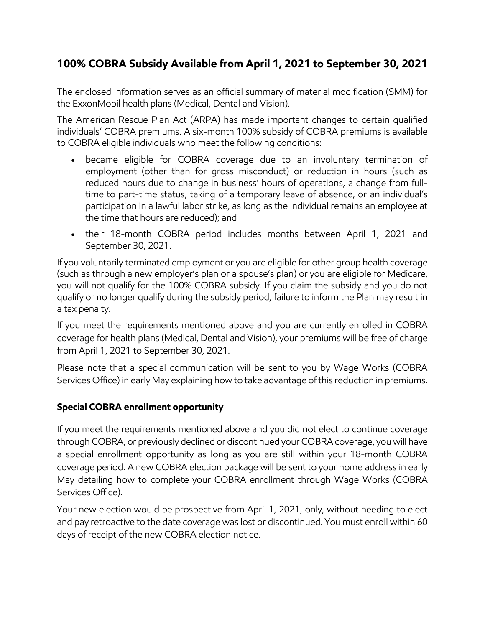## **100% COBRA Subsidy Available from April 1, 2021 to September 30, 2021**

The enclosed information serves as an official summary of material modification (SMM) for the ExxonMobil health plans (Medical, Dental and Vision).

The American Rescue Plan Act (ARPA) has made important changes to certain qualified individuals' COBRA premiums. A six-month 100% subsidy of COBRA premiums is available to COBRA eligible individuals who meet the following conditions:

- became eligible for COBRA coverage due to an involuntary termination of employment (other than for gross misconduct) or reduction in hours (such as reduced hours due to change in business' hours of operations, a change from fulltime to part-time status, taking of a temporary leave of absence, or an individual's participation in a lawful labor strike, as long as the individual remains an employee at the time that hours are reduced); and
- their 18-month COBRA period includes months between April 1, 2021 and September 30, 2021.

If you voluntarily terminated employment or you are eligible for other group health coverage (such as through a new employer's plan or a spouse's plan) or you are eligible for Medicare, you will not qualify for the 100% COBRA subsidy. If you claim the subsidy and you do not qualify or no longer qualify during the subsidy period, failure to inform the Plan may result in a tax penalty.

If you meet the requirements mentioned above and you are currently enrolled in COBRA coverage for health plans (Medical, Dental and Vision), your premiums will be free of charge from April 1, 2021 to September 30, 2021.

Please note that a special communication will be sent to you by Wage Works (COBRA Services Office) in early May explaining how to take advantage of this reduction in premiums.

## **Special COBRA enrollment opportunity**

If you meet the requirements mentioned above and you did not elect to continue coverage through COBRA, or previously declined or discontinued your COBRA coverage, you will have a special enrollment opportunity as long as you are still within your 18-month COBRA coverage period. A new COBRA election package will be sent to your home address in early May detailing how to complete your COBRA enrollment through Wage Works (COBRA Services Office).

Your new election would be prospective from April 1, 2021, only, without needing to elect and pay retroactive to the date coverage was lost or discontinued. You must enroll within 60 days of receipt of the new COBRA election notice.